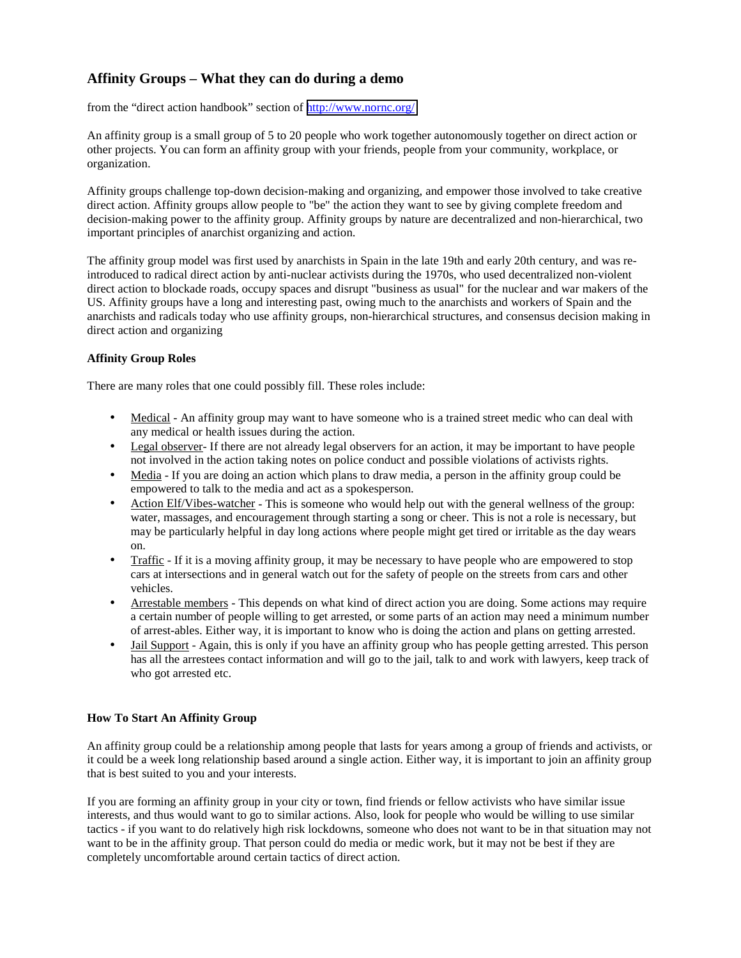# **Affinity Groups – What they can do during a demo**

from the "direct action handbook" section of <http://www.nornc.org/>

An affinity group is a small group of 5 to 20 people who work together autonomously together on direct action or other projects. You can form an affinity group with your friends, people from your community, workplace, or organization.

Affinity groups challenge top-down decision-making and organizing, and empower those involved to take creative direct action. Affinity groups allow people to "be" the action they want to see by giving complete freedom and decision-making power to the affinity group. Affinity groups by nature are decentralized and non-hierarchical, two important principles of anarchist organizing and action.

The affinity group model was first used by anarchists in Spain in the late 19th and early 20th century, and was reintroduced to radical direct action by anti-nuclear activists during the 1970s, who used decentralized non-violent direct action to blockade roads, occupy spaces and disrupt "business as usual" for the nuclear and war makers of the US. Affinity groups have a long and interesting past, owing much to the anarchists and workers of Spain and the anarchists and radicals today who use affinity groups, non-hierarchical structures, and consensus decision making in direct action and organizing

## **Affinity Group Roles**

There are many roles that one could possibly fill. These roles include:

- Medical An affinity group may want to have someone who is a trained street medic who can deal with any medical or health issues during the action.
- Legal observer- If there are not already legal observers for an action, it may be important to have people not involved in the action taking notes on police conduct and possible violations of activists rights.
- Media If you are doing an action which plans to draw media, a person in the affinity group could be empowered to talk to the media and act as a spokesperson.
- Action Elf/Vibes-watcher This is someone who would help out with the general wellness of the group: water, massages, and encouragement through starting a song or cheer. This is not a role is necessary, but may be particularly helpful in day long actions where people might get tired or irritable as the day wears on.
- Traffic If it is a moving affinity group, it may be necessary to have people who are empowered to stop cars at intersections and in general watch out for the safety of people on the streets from cars and other vehicles.
- Arrestable members This depends on what kind of direct action you are doing. Some actions may require a certain number of people willing to get arrested, or some parts of an action may need a minimum number of arrest-ables. Either way, it is important to know who is doing the action and plans on getting arrested.
- Jail Support Again, this is only if you have an affinity group who has people getting arrested. This person has all the arrestees contact information and will go to the jail, talk to and work with lawyers, keep track of who got arrested etc.

## **How To Start An Affinity Group**

An affinity group could be a relationship among people that lasts for years among a group of friends and activists, or it could be a week long relationship based around a single action. Either way, it is important to join an affinity group that is best suited to you and your interests.

If you are forming an affinity group in your city or town, find friends or fellow activists who have similar issue interests, and thus would want to go to similar actions. Also, look for people who would be willing to use similar tactics - if you want to do relatively high risk lockdowns, someone who does not want to be in that situation may not want to be in the affinity group. That person could do media or medic work, but it may not be best if they are completely uncomfortable around certain tactics of direct action.